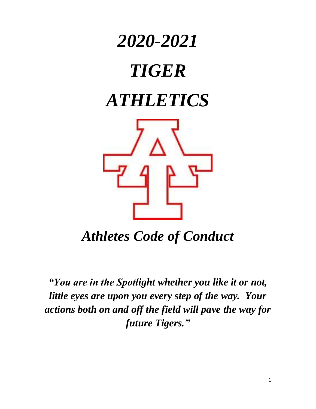

*Athletes Code of Conduct*

*"You are in the Spotlight whether you like it or not, little eyes are upon you every step of the way. Your actions both on and off the field will pave the way for future Tigers."*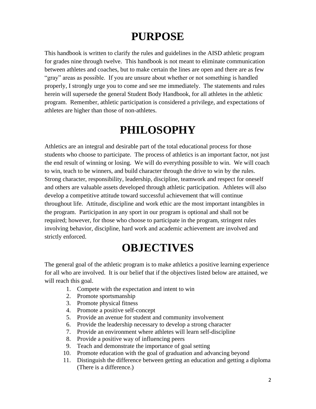## **PURPOSE**

This handbook is written to clarify the rules and guidelines in the AISD athletic program for grades nine through twelve. This handbook is not meant to eliminate communication between athletes and coaches, but to make certain the lines are open and there are as few "gray" areas as possible. If you are unsure about whether or not something is handled properly, I strongly urge you to come and see me immediately. The statements and rules herein will supersede the general Student Body Handbook, for all athletes in the athletic program. Remember, athletic participation is considered a privilege, and expectations of athletes are higher than those of non-athletes.

### **PHILOSOPHY**

Athletics are an integral and desirable part of the total educational process for those students who choose to participate. The process of athletics is an important factor, not just the end result of winning or losing. We will do everything possible to win. We will coach to win, teach to be winners, and build character through the drive to win by the rules. Strong character, responsibility, leadership, discipline, teamwork and respect for oneself and others are valuable assets developed through athletic participation. Athletes will also develop a competitive attitude toward successful achievement that will continue throughout life. Attitude, discipline and work ethic are the most important intangibles in the program. Participation in any sport in our program is optional and shall not be required; however, for those who choose to participate in the program, stringent rules involving behavior, discipline, hard work and academic achievement are involved and strictly enforced.

### **OBJECTIVES**

The general goal of the athletic program is to make athletics a positive learning experience for all who are involved. It is our belief that if the objectives listed below are attained, we will reach this goal.

- 1. Compete with the expectation and intent to win
- 2. Promote sportsmanship
- 3. Promote physical fitness
- 4. Promote a positive self-concept
- 5. Provide an avenue for student and community involvement
- 6. Provide the leadership necessary to develop a strong character
- 7. Provide an environment where athletes will learn self-discipline
- 8. Provide a positive way of influencing peers
- 9. Teach and demonstrate the importance of goal setting
- 10. Promote education with the goal of graduation and advancing beyond
- 11. Distinguish the difference between getting an education and getting a diploma (There is a difference.)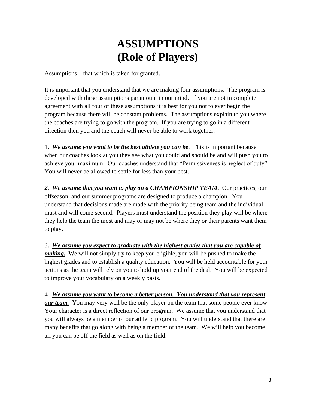## **ASSUMPTIONS (Role of Players)**

Assumptions – that which is taken for granted.

It is important that you understand that we are making four assumptions. The program is developed with these assumptions paramount in our mind. If you are not in complete agreement with all four of these assumptions it is best for you not to ever begin the program because there will be constant problems. The assumptions explain to you where the coaches are trying to go with the program. If you are trying to go in a different direction then you and the coach will never be able to work together.

1. *We assume you want to be the best athlete you can be*. This is important because when our coaches look at you they see what you could and should be and will push you to achieve your maximum. Our coaches understand that "Permissiveness is neglect of duty". You will never be allowed to settle for less than your best.

*2. We assume that you want to play on a CHAMPIONSHIP TEAM*. Our practices, our offseason, and our summer programs are designed to produce a champion. You understand that decisions made are made with the priority being team and the individual must and will come second. Players must understand the position they play will be where they help the team the most and may or may not be where they or their parents want them to play.

3. *We assume you expect to graduate with the highest grades that you are capable of making.* We will not simply try to keep you eligible; you will be pushed to make the highest grades and to establish a quality education. You will be held accountable for your actions as the team will rely on you to hold up your end of the deal. You will be expected to improve your vocabulary on a weekly basis.

4*. We assume you want to become a better person. You understand that you represent our team.* You may very well be the only player on the team that some people ever know. Your character is a direct reflection of our program. We assume that you understand that you will always be a member of our athletic program. You will understand that there are many benefits that go along with being a member of the team. We will help you become all you can be off the field as well as on the field.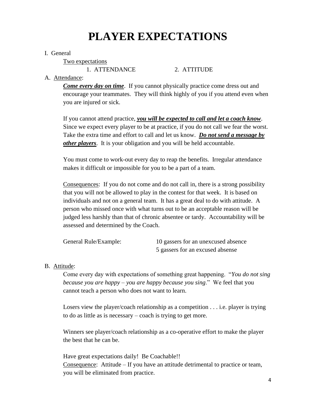## **PLAYER EXPECTATIONS**

#### I. General

Two expectations

1. ATTENDANCE 2. ATTITUDE

### A. Attendance:

*Come every day on time*. If you cannot physically practice come dress out and encourage your teammates. They will think highly of you if you attend even when you are injured or sick.

If you cannot attend practice, *you will be expected to call and let a coach know*. Since we expect every player to be at practice, if you do not call we fear the worst. Take the extra time and effort to call and let us know. *Do not send a message by other players*. It is your obligation and you will be held accountable.

You must come to work-out every day to reap the benefits. Irregular attendance makes it difficult or impossible for you to be a part of a team.

Consequences: If you do not come and do not call in, there is a strong possibility that you will not be allowed to play in the contest for that week. It is based on individuals and not on a general team. It has a great deal to do with attitude. A person who missed once with what turns out to be an acceptable reason will be judged less harshly than that of chronic absentee or tardy. Accountability will be assessed and determined by the Coach.

| General Rule/Example: | 10 gassers for an unexcused absence |
|-----------------------|-------------------------------------|
|                       | 5 gassers for an excused absense    |

### B. Attitude:

Come every day with expectations of something great happening. "*You do not sing because you are happy – you are happy because you sing*." We feel that you cannot teach a person who does not want to learn.

Losers view the player/coach relationship as a competition . . . i.e. player is trying to do as little as is necessary – coach is trying to get more.

Winners see player/coach relationship as a co-operative effort to make the player the best that he can be.

Have great expectations daily! Be Coachable!! Consequence: Attitude – If you have an attitude detrimental to practice or team, you will be eliminated from practice.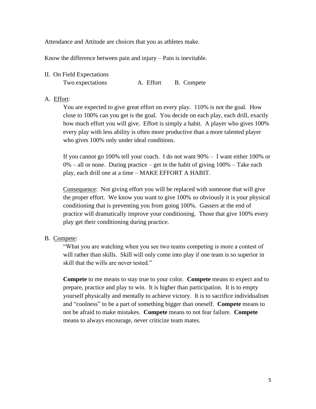Attendance and Attitude are choices that you as athletes make.

Know the difference between pain and injury – Pain is inevitable.

II. On Field Expectations

Two expectations **A.** Effort **B.** Compete

#### A. Effort:

You are expected to give great effort on every play. 110% is not the goal. How close to 100% can you get is the goal. You decide on each play, each drill, exactly how much effort you will give. Effort is simply a habit. A player who gives 100% every play with less ability is often more productive than a more talented player who gives  $100\%$  only under ideal conditions.

If you cannot go 100% tell your coach. I do not want 90% – I want either 100% or  $0\%$  – all or none. During practice – get in the habit of giving  $100\%$  – Take each play, each drill one at a time – MAKE EFFORT A HABIT.

Consequence: Not giving effort you will be replaced with someone that will give the proper effort. We know you want to give 100% so obviously it is your physical conditioning that is preventing you from going 100%. Gassers at the end of practice will dramatically improve your conditioning. Those that give 100% every play get their conditioning during practice.

#### B. Compete:

"What you are watching when you see two teams competing is more a contest of will rather than skills. Skill will only come into play if one team is so superior in skill that the wills are never tested."

**Compete** to me means to stay true to your color. **Compete** means to expect and to prepare, practice and play to win. It is higher than participation. It is to empty yourself physically and mentally to achieve victory. It is to sacrifice individualism and "coolness" to be a part of something bigger than oneself. **Compete** means to not be afraid to make mistakes. **Compete** means to not fear failure. **Compete** means to always encourage, never criticize team mates.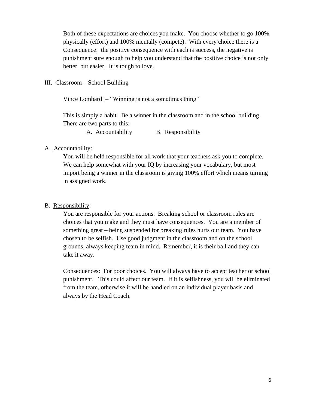Both of these expectations are choices you make. You choose whether to go 100% physically (effort) and 100% mentally (compete). With every choice there is a Consequence: the positive consequence with each is success, the negative is punishment sure enough to help you understand that the positive choice is not only better, but easier. It is tough to love.

III. Classroom – School Building

Vince Lombardi – "Winning is not a sometimes thing"

This is simply a habit. Be a winner in the classroom and in the school building. There are two parts to this:

A. Accountability B. Responsibility

#### A. Accountability:

You will be held responsible for all work that your teachers ask you to complete. We can help somewhat with your IQ by increasing your vocabulary, but most import being a winner in the classroom is giving 100% effort which means turning in assigned work.

#### B. Responsibility:

You are responsible for your actions. Breaking school or classroom rules are choices that you make and they must have consequences. You are a member of something great – being suspended for breaking rules hurts our team. You have chosen to be selfish. Use good judgment in the classroom and on the school grounds, always keeping team in mind. Remember, it is their ball and they can take it away.

Consequences: For poor choices. You will always have to accept teacher or school punishment. This could affect our team. If it is selfishness, you will be eliminated from the team, otherwise it will be handled on an individual player basis and always by the Head Coach.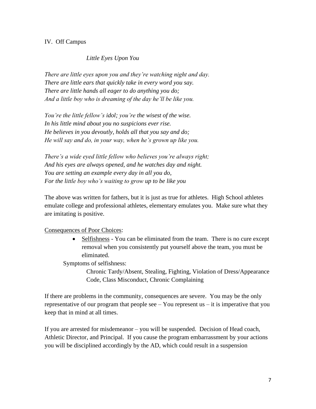### IV. Off Campus

### *Little Eyes Upon You*

*There are little eyes upon you and they're watching night and day. There are little ears that quickly take in every word you say. There are little hands all eager to do anything you do; And a little boy who is dreaming of the day he'll be like you.*

*You're the little fellow's idol; you're the wisest of the wise. In his little mind about you no suspicions ever rise. He believes in you devoutly, holds all that you say and do; He will say and do, in your way, when he's grown up like you.*

*There's a wide eyed little fellow who believes you're always right; And his eyes are always opened, and he watches day and night. You are setting an example every day in all you do, For the little boy who's waiting to grow up to be like you*

The above was written for fathers, but it is just as true for athletes. High School athletes emulate college and professional athletes, elementary emulates you. Make sure what they are imitating is positive.

#### Consequences of Poor Choices:

• Selfishness - You can be eliminated from the team. There is no cure except removal when you consistently put yourself above the team, you must be eliminated.

Symptoms of selfishness:

Chronic Tardy/Absent, Stealing, Fighting, Violation of Dress/Appearance Code, Class Misconduct, Chronic Complaining

If there are problems in the community, consequences are severe. You may be the only representative of our program that people see – You represent us – it is imperative that you keep that in mind at all times.

If you are arrested for misdemeanor – you will be suspended. Decision of Head coach, Athletic Director, and Principal. If you cause the program embarrassment by your actions you will be disciplined accordingly by the AD, which could result in a suspension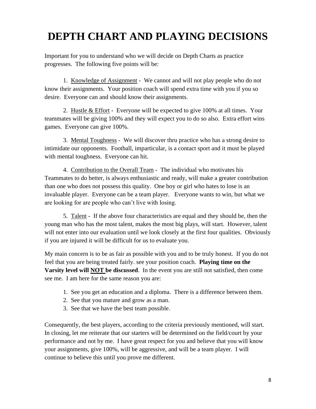## **DEPTH CHART AND PLAYING DECISIONS**

Important for you to understand who we will decide on Depth Charts as practice progresses. The following five points will be:

1. Knowledge of Assignment - We cannot and will not play people who do not know their assignments. Your position coach will spend extra time with you if you so desire. Everyone can and should know their assignments.

2. Hustle & Effort - Everyone will be expected to give 100% at all times. Your teammates will be giving 100% and they will expect you to do so also. Extra effort wins games. Everyone can give 100%.

3. Mental Toughness - We will discover thru practice who has a strong desire to intimidate our opponents. Football, imparticular, is a contact sport and it must be played with mental toughness. Everyone can hit.

4. Contribution to the Overall Team - The individual who motivates his Teammates to do better, is always enthusiastic and ready, will make a greater contribution than one who does not possess this quality. One boy or girl who hates to lose is an invaluable player. Everyone can be a team player. Everyone wants to win, but what we are looking for are people who can't live with losing.

5. Talent - If the above four characteristics are equal and they should be, then the young man who has the most talent, makes the most big plays, will start. However, talent will not enter into our evaluation until we look closely at the first four qualities. Obviously if you are injured it will be difficult for us to evaluate you.

My main concern is to be as fair as possible with you and to be truly honest. If you do not feel that you are being treated fairly. see your position coach. **Playing time on the Varsity level will NOT be discussed**. In the event you are still not satisfied, then come see me. I am here for the same reason you are:

- 1. See you get an education and a diploma. There is a difference between them.
- 2. See that you mature and grow as a man.
- 3. See that we have the best team possible.

Consequently, the best players, according to the criteria previously mentioned, will start. In closing, let me reiterate that our starters will be determined on the field/court by your performance and not by me. I have great respect for you and believe that you will know your assignments, give 100%, will be aggressive, and will be a team player. I will continue to believe this until you prove me different.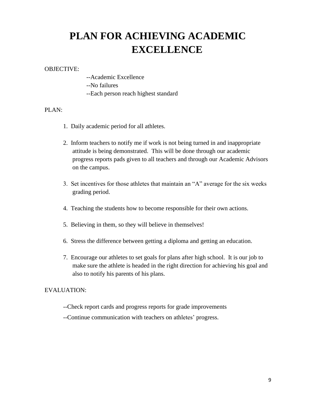## **PLAN FOR ACHIEVING ACADEMIC EXCELLENCE**

#### OBJECTIVE:

- --Academic Excellence
- --No failures
- --Each person reach highest standard

#### PLAN:

- 1. Daily academic period for all athletes.
- 2. Inform teachers to notify me if work is not being turned in and inappropriate attitude is being demonstrated. This will be done through our academic progress reports pads given to all teachers and through our Academic Advisors on the campus.
- 3. Set incentives for those athletes that maintain an "A" average for the six weeks grading period.
- 4. Teaching the students how to become responsible for their own actions.
- 5. Believing in them, so they will believe in themselves!
- 6. Stress the difference between getting a diploma and getting an education.
- 7. Encourage our athletes to set goals for plans after high school. It is our job to make sure the athlete is headed in the right direction for achieving his goal and also to notify his parents of his plans.

#### EVALUATION:

- --Check report cards and progress reports for grade improvements
- --Continue communication with teachers on athletes' progress.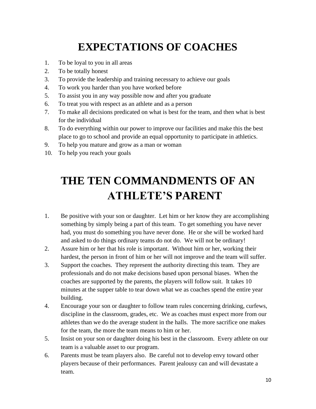# **EXPECTATIONS OF COACHES**

- 1. To be loyal to you in all areas
- 2. To be totally honest
- 3. To provide the leadership and training necessary to achieve our goals
- 4. To work you harder than you have worked before
- 5. To assist you in any way possible now and after you graduate
- 6. To treat you with respect as an athlete and as a person
- 7. To make all decisions predicated on what is best for the team, and then what is best for the individual
- 8. To do everything within our power to improve our facilities and make this the best place to go to school and provide an equal opportunity to participate in athletics.
- 9. To help you mature and grow as a man or woman
- 10. To help you reach your goals

# **THE TEN COMMANDMENTS OF AN ATHLETE'S PARENT**

- 1. Be positive with your son or daughter. Let him or her know they are accomplishing something by simply being a part of this team. To get something you have never had, you must do something you have never done. He or she will be worked hard and asked to do things ordinary teams do not do. We will not be ordinary!
- 2. Assure him or her that his role is important. Without him or her, working their hardest, the person in front of him or her will not improve and the team will suffer.
- 3. Support the coaches. They represent the authority directing this team. They are professionals and do not make decisions based upon personal biases. When the coaches are supported by the parents, the players will follow suit. It takes 10 minutes at the supper table to tear down what we as coaches spend the entire year building.
- 4. Encourage your son or daughter to follow team rules concerning drinking, curfews, discipline in the classroom, grades, etc. We as coaches must expect more from our athletes than we do the average student in the halls. The more sacrifice one makes for the team, the more the team means to him or her.
- 5. Insist on your son or daughter doing his best in the classroom. Every athlete on our team is a valuable asset to our program.
- 6. Parents must be team players also. Be careful not to develop envy toward other players because of their performances. Parent jealousy can and will devastate a team.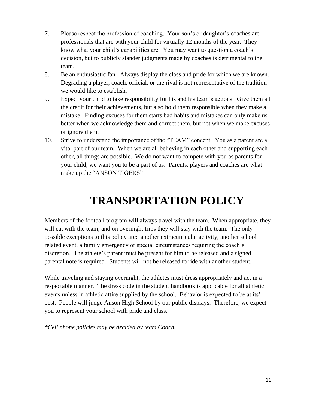- 7. Please respect the profession of coaching. Your son's or daughter's coaches are professionals that are with your child for virtually 12 months of the year. They know what your child's capabilities are. You may want to question a coach's decision, but to publicly slander judgments made by coaches is detrimental to the team.
- 8. Be an enthusiastic fan. Always display the class and pride for which we are known. Degrading a player, coach, official, or the rival is not representative of the tradition we would like to establish.
- 9. Expect your child to take responsibility for his and his team's actions. Give them all the credit for their achievements, but also hold them responsible when they make a mistake. Finding excuses for them starts bad habits and mistakes can only make us better when we acknowledge them and correct them, but not when we make excuses or ignore them.
- 10. Strive to understand the importance of the "TEAM" concept. You as a parent are a vital part of our team. When we are all believing in each other and supporting each other, all things are possible. We do not want to compete with you as parents for your child; we want you to be a part of us. Parents, players and coaches are what make up the "ANSON TIGERS"

## **TRANSPORTATION POLICY**

Members of the football program will always travel with the team. When appropriate, they will eat with the team, and on overnight trips they will stay with the team. The only possible exceptions to this policy are: another extracurricular activity, another school related event, a family emergency or special circumstances requiring the coach's discretion. The athlete's parent must be present for him to be released and a signed parental note is required. Students will not be released to ride with another student.

While traveling and staying overnight, the athletes must dress appropriately and act in a respectable manner. The dress code in the student handbook is applicable for all athletic events unless in athletic attire supplied by the school. Behavior is expected to be at its' best. People will judge Anson High School by our public displays. Therefore, we expect you to represent your school with pride and class.

*\*Cell phone policies may be decided by team Coach.*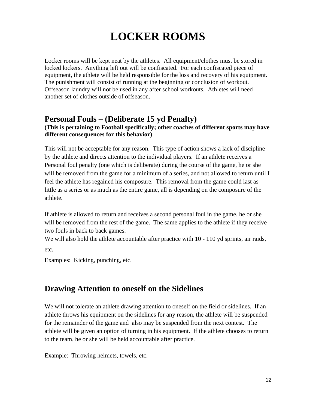## **LOCKER ROOMS**

Locker rooms will be kept neat by the athletes. All equipment/clothes must be stored in locked lockers. Anything left out will be confiscated. For each confiscated piece of equipment, the athlete will be held responsible for the loss and recovery of his equipment. The punishment will consist of running at the beginning or conclusion of workout. Offseason laundry will not be used in any after school workouts. Athletes will need another set of clothes outside of offseason.

### **Personal Fouls – (Deliberate 15 yd Penalty)**

### **(This is pertaining to Football specifically; other coaches of different sports may have different consequences for this behavior)**

This will not be acceptable for any reason. This type of action shows a lack of discipline by the athlete and directs attention to the individual players. If an athlete receives a Personal foul penalty (one which is deliberate) during the course of the game, he or she will be removed from the game for a minimum of a series, and not allowed to return until I feel the athlete has regained his composure. This removal from the game could last as little as a series or as much as the entire game, all is depending on the composure of the athlete.

If athlete is allowed to return and receives a second personal foul in the game, he or she will be removed from the rest of the game. The same applies to the athlete if they receive two fouls in back to back games.

We will also hold the athlete accountable after practice with  $10 - 110$  yd sprints, air raids, etc.

Examples: Kicking, punching, etc.

### **Drawing Attention to oneself on the Sidelines**

We will not tolerate an athlete drawing attention to oneself on the field or sidelines. If an athlete throws his equipment on the sidelines for any reason, the athlete will be suspended for the remainder of the game and also may be suspended from the next contest. The athlete will be given an option of turning in his equipment. If the athlete chooses to return to the team, he or she will be held accountable after practice.

Example: Throwing helmets, towels, etc.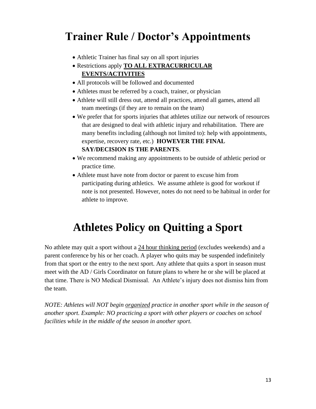## **Trainer Rule / Doctor's Appointments**

- Athletic Trainer has final say on all sport injuries
- Restrictions apply **TO ALL EXTRACURRICULAR EVENTS/ACTIVITIES**
- All protocols will be followed and documented
- Athletes must be referred by a coach, trainer, or physician
- Athlete will still dress out, attend all practices, attend all games, attend all team meetings (if they are to remain on the team)
- We prefer that for sports injuries that athletes utilize our network of resources that are designed to deal with athletic injury and rehabilitation. There are many benefits including (although not limited to): help with appointments, expertise, recovery rate, etc.) **HOWEVER THE FINAL SAY/DECISION IS THE PARENTS**.
- We recommend making any appointments to be outside of athletic period or practice time.
- Athlete must have note from doctor or parent to excuse him from participating during athletics. We assume athlete is good for workout if note is not presented. However, notes do not need to be habitual in order for athlete to improve.

## **Athletes Policy on Quitting a Sport**

No athlete may quit a sport without a 24 hour thinking period (excludes weekends) and a parent conference by his or her coach. A player who quits may be suspended indefinitely from that sport or the entry to the next sport. Any athlete that quits a sport in season must meet with the AD / Girls Coordinator on future plans to where he or she will be placed at that time. There is NO Medical Dismissal. An Athlete's injury does not dismiss him from the team.

*NOTE: Athletes will NOT begin organized practice in another sport while in the season of another sport. Example: NO practicing a sport with other players or coaches on school facilities while in the middle of the season in another sport.*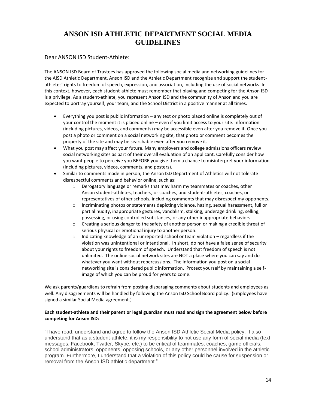### **ANSON ISD ATHLETIC DEPARTMENT SOCIAL MEDIA GUIDELINES**

#### Dear ANSON ISD Student-Athlete:

The ANSON ISD Board of Trustees has approved the following social media and networking guidelines for the AISD Athletic Department. Anson ISD and the Athletic Department recognize and support the studentathletes' rights to freedom of speech, expression, and association, including the use of social networks. In this context, however, each student-athlete must remember that playing and competing for the Anson ISD is a privilege. As a student-athlete, you represent Anson ISD and the community of Anson and you are expected to portray yourself, your team, and the School District in a positive manner at all times.

- Everything you post is public information any text or photo placed online is completely out of your control the moment it is placed online – even if you limit access to your site. Information (including pictures, videos, and comments) may be accessible even after you remove it. Once you post a photo or comment on a social networking site, that photo or comment becomes the property of the site and may be searchable even after you remove it.
- What you post may affect your future. Many employers and college admissions officers review social networking sites as part of their overall evaluation of an applicant. Carefully consider how you want people to perceive you BEFORE you give them a chance to misinterpret your information (including pictures, videos, comments, and posters).
- Similar to comments made in person, the Anson ISD Department of Athletics will not tolerate disrespectful comments and behavior online, such as:
	- $\circ$  Derogatory language or remarks that may harm my teammates or coaches, other Anson student-athletes, teachers, or coaches, and student-athletes, coaches, or representatives of other schools, including comments that may disrespect my opponents.
	- o Incriminating photos or statements depicting violence, hazing, sexual harassment, full or partial nudity, inappropriate gestures, vandalism, stalking, underage drinking, selling, possessing, or using controlled substances, or any other inappropriate behaviors.
	- o Creating a serious danger to the safety of another person or making a credible threat of serious physical or emotional injury to another person.
	- $\circ$  Indicating knowledge of an unreported school or team violation regardless if the violation was unintentional or intentional. In short, do not have a false sense of security about your rights to freedom of speech. Understand that freedom of speech is not unlimited. The online social network sites are NOT a place where you can say and do whatever you want without repercussions. The information you post on a social networking site is considered public information. Protect yourself by maintaining a selfimage of which you can be proud for years to come.

We ask parents/guardians to refrain from posting disparaging comments about students and employees as well. Any disagreements will be handled by following the Anson ISD School Board policy. (Employees have signed a similar Social Media agreement.)

#### **Each student-athlete and their parent or legal guardian must read and sign the agreement below before competing for Anson ISD:**

"I have read, understand and agree to follow the Anson ISD Athletic Social Media policy. I also understand that as a student-athlete, it is my responsibility to not use any form of social media (text messages, Facebook, Twitter, Skype, etc.) to be critical of teammates, coaches, game officials, school administrators, opponents, opposing schools, or any other personnel involved in the athletic program. Furthermore, I understand that a violation of this policy could be cause for suspension or removal from the Anson ISD athletic department."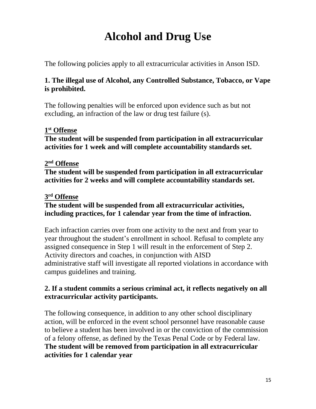# **Alcohol and Drug Use**

The following policies apply to all extracurricular activities in Anson ISD.

### **1. The illegal use of Alcohol, any Controlled Substance, Tobacco, or Vape is prohibited.**

The following penalties will be enforced upon evidence such as but not excluding, an infraction of the law or drug test failure (s).

### **1 st Offense**

**The student will be suspended from participation in all extracurricular activities for 1 week and will complete accountability standards set.** 

### **2 nd Offense**

**The student will be suspended from participation in all extracurricular activities for 2 weeks and will complete accountability standards set.**

### **3 rd Offense**

### **The student will be suspended from all extracurricular activities, including practices, for 1 calendar year from the time of infraction.**

Each infraction carries over from one activity to the next and from year to year throughout the student's enrollment in school. Refusal to complete any assigned consequence in Step 1 will result in the enforcement of Step 2. Activity directors and coaches, in conjunction with AISD administrative staff will investigate all reported violations in accordance with campus guidelines and training.

### **2. If a student commits a serious criminal act, it reflects negatively on all extracurricular activity participants.**

The following consequence, in addition to any other school disciplinary action, will be enforced in the event school personnel have reasonable cause to believe a student has been involved in or the conviction of the commission of a felony offense, as defined by the Texas Penal Code or by Federal law. **The student will be removed from participation in all extracurricular activities for 1 calendar year**